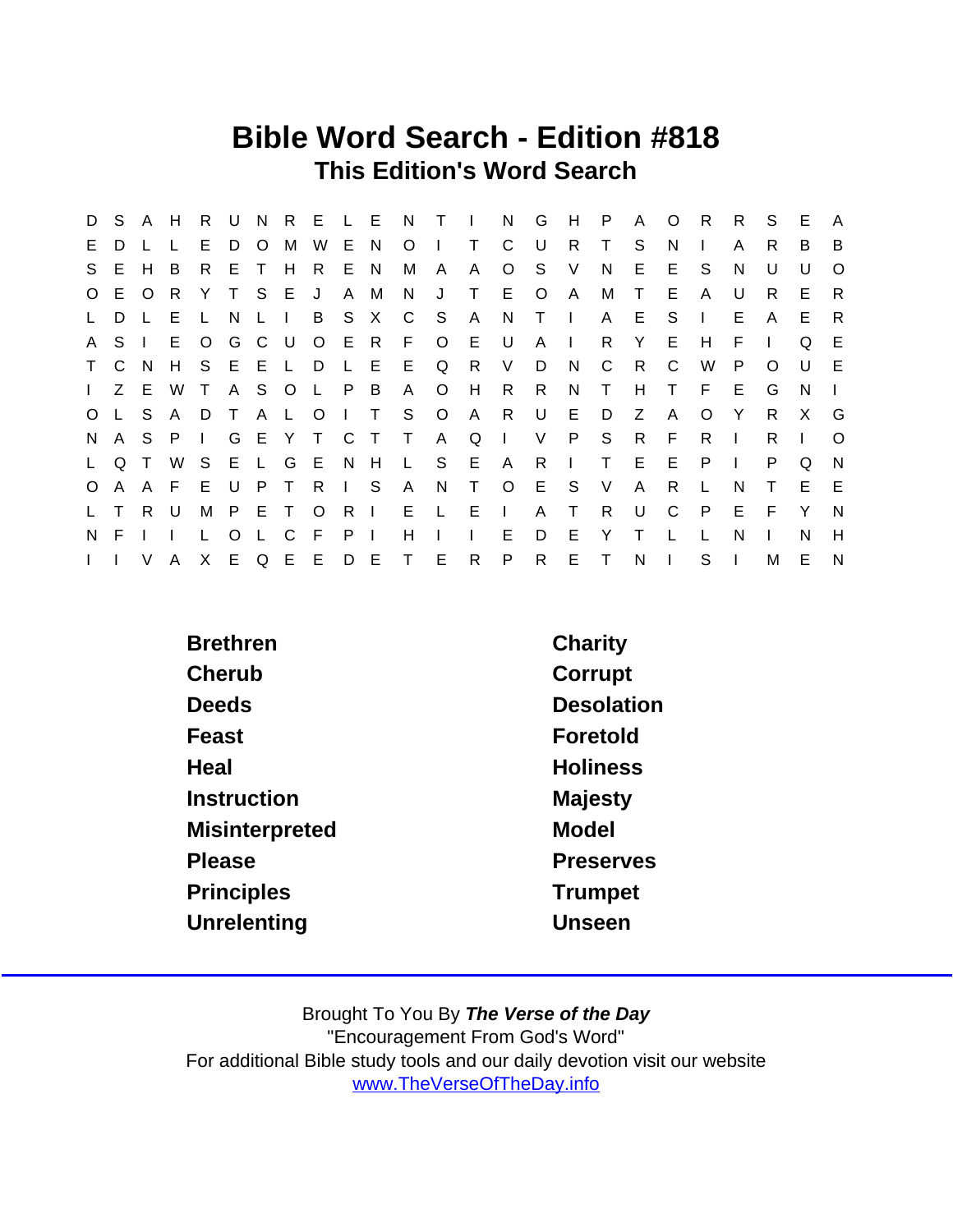## Bible Word Search - Edition #818 This Edition's Word Search

| D            | S            | A   | H               | R.           |         |              |         |         |                |                |                   |              |              | UNRELENTIN   | G               | H P                       |              | A            | $\circ$      | - R          | R.           | S.           | E      | A        |
|--------------|--------------|-----|-----------------|--------------|---------|--------------|---------|---------|----------------|----------------|-------------------|--------------|--------------|--------------|-----------------|---------------------------|--------------|--------------|--------------|--------------|--------------|--------------|--------|----------|
| E.           | D            |     |                 | E.           | D       | $\circ$      | M       | W       |                | E N            | $\circ$           | $\Box$       | $\mathsf{T}$ | C.           | U               | R                         | T.           | S            | N            |              | A            | R            | B      | B        |
|              | S E          | H   | B               | R.           | E.      | $\top$       | H       | R       | E N            |                | M                 | $\mathsf{A}$ | A            | $\circ$      | S.              | V                         | N            | E.           | E            | <sub>S</sub> | N            | U            | U      | $\Omega$ |
|              | O E O        |     | -R              | Y            |         |              | T S E J |         |                | A M            | N                 | J            | T            | E O          |                 | $\mathsf{A}$              | М            | $\top$       | E.           | A            | U            | R.           | E.     | -R       |
|              | L D L        |     | E               | L.           | N       |              | $\Box$  | B       | S.             | $\mathsf{X}$   | C.                | - S          | A            | N            | T <sub>1</sub>  |                           | $\mathsf{A}$ | E            | S.           | $\mathbf{I}$ | E.           | $\mathsf{A}$ | E.     | -R       |
|              | A S I        |     | E               | $\circ$      |         | G C U        |         | OER     |                |                | F.                | $\circ$      |              | E U          |                 | $A \cup$                  | R.           | Y            | E.           | H            | F            |              | Q      | E        |
| T C          |              | N   | H               | S.           | EEL     |              |         | D.      |                | L E E          |                   | Q            | R            | $\vee$       | D               | N                         | C .          | R,           | C            | W            | P.           | $\Omega$     | $\cup$ | E        |
|              |              |     | $I$ $Z$ $E$ $W$ | $\top$       |         |              | A S O L |         | $\mathsf{P}$   | $\overline{B}$ | $\mathsf{A}$      | $\circ$      | H            | $\mathsf{R}$ | $\mathsf{R}$    | N                         | $\top$       | H            | $\top$       | - F          | E.           | G            | N.     |          |
|              | O L          | S.  | A               |              | D T     |              | A L     |         |                | OITS           |                   | $\circ$      | A            | R            | U               | E                         | D            | Z            | $\mathsf{A}$ | $\circ$      | Y            | R.           | X      | G        |
| N.           | A S          |     | $\mathsf{P}$    | $\mathbf{L}$ |         |              |         |         |                |                | G E Y T C T T A   |              | Q            | $\sim 1$ .   | V —             | P.                        | S            | R.           | F            | R.           | $\Box$       | R            |        | $\Omega$ |
|              | L Q T        |     | W               | S.           |         |              |         |         |                |                | E L G E N H L S   |              | E            | $\mathsf{A}$ | $\mathsf{R}$    | $\mathbf{I}$ $\mathbf{T}$ |              | E            | E            | P.           | $\mathbf{L}$ | P            | Q      | N        |
| $\circ$      | $\mathsf{A}$ | A F |                 | E.           | U       |              | P T     | R       | $\vert$ S      |                | $\mathsf{A}$      | N            | $\top$       | $\circ$      | E               | S.                        | V            | $\mathsf{A}$ | R            | L.           | N            | T.           | E.     | E        |
| L T          |              | R.  | - U             | М            |         | PET          |         | $\circ$ | R <sub>1</sub> |                |                   | $E \quad L$  | - E          | $\sim 1$ .   | A               | $\top$                    | $\mathsf{R}$ | U            | C            | P.           | E.           | F            | Y      | N        |
|              | N F          |     |                 | $\mathsf{L}$ | $\circ$ | $\mathbf{I}$ | C.      | -F      | P <sub>1</sub> |                | H                 |              | $\mathbf{L}$ | E            | D               | E                         | Y            | т            | $\mathbf{L}$ |              | N            |              | N      | H        |
| $\mathbf{L}$ |              |     | V A             |              |         |              |         |         |                |                | X E Q E E D E T E |              | R            | P            | $R_{\parallel}$ |                           | E T          | N            |              | S            |              | М            | E.     | N        |

| Charity           |
|-------------------|
| Corrupt           |
| <b>Desolation</b> |
| Foretold          |
| <b>Holiness</b>   |
| <b>Majesty</b>    |
| Model             |
| <b>Preserves</b>  |
| Trumpet           |
| Unseen            |
|                   |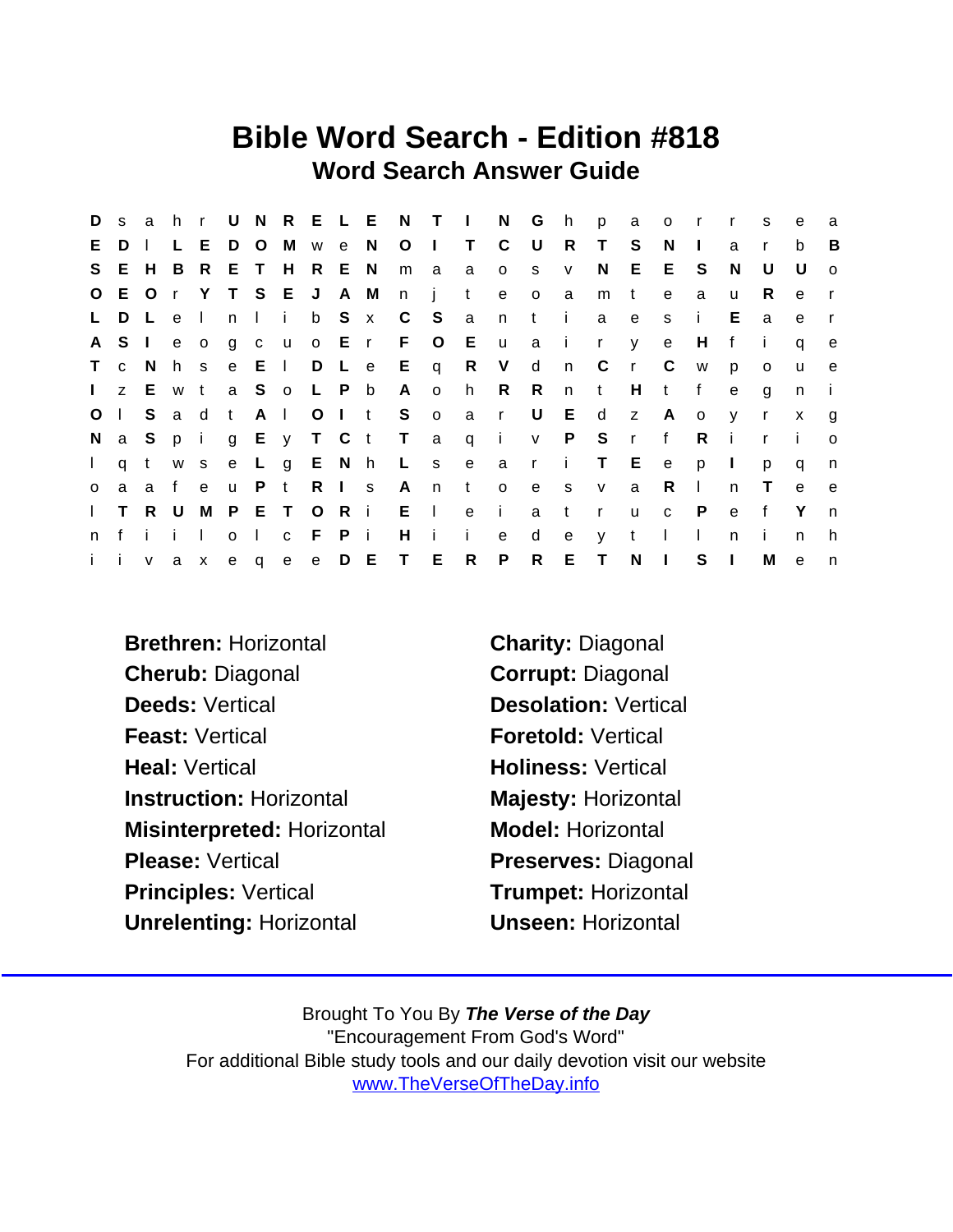## Bible Word Search - Edition #818 Word Search Answer Guide

| D            | S.           |       |              |                 |              |         |              |         |            |                   |                 | a h r U N R E L E N T I |              | N            | G            | h            | p            | a            | $\circ$      | $\mathsf{r}$ | $\mathsf{r}$ | S            | e            | a            |
|--------------|--------------|-------|--------------|-----------------|--------------|---------|--------------|---------|------------|-------------------|-----------------|-------------------------|--------------|--------------|--------------|--------------|--------------|--------------|--------------|--------------|--------------|--------------|--------------|--------------|
| E.           | $D \mid$     |       | $\mathsf{L}$ | E.              |              | D O     | M            |         | w e N      |                   | $\circ$         | $\blacksquare$          | $\mathsf{T}$ | C            | - U          | R.           | $\top$       | S.           | N.           | Ι.           | a            |              | b            | B            |
|              |              | S E H | B            | $R_{\parallel}$ | E T          |         | H            | R E N   |            |                   | m a             |                         | a            | $\circ$      | S            | $\mathsf{V}$ | N.           | E            | E            | S            | N            | U            | U            | $\circ$      |
|              |              |       |              | O E O r Y       |              |         | T S E J A M  |         |            |                   | n               | $\blacksquare$          | $\mathbf{t}$ | $\mathbf{e}$ | $\mathbf{o}$ | a            | m            | t            | e            | a            | u            | R.           | e            |              |
| $\mathsf{L}$ | D L          |       | e e          | $\mathbf{I}$    |              |         | nli          |         | b S x      |                   | $\overline{C}$  | $^{\circ}$ S            | $\alpha$     | n.           | $-t$         | $\mathbf{i}$ | a            | e            | S            | j.           | E.           | a            | e            | $\mathsf{r}$ |
|              |              |       |              | A S I e o g c   |              |         | <b>u</b>     |         |            |                   |                 | o E r F O E             |              | u            | a            | $\mathbf{i}$ | r            | <b>V</b>     | $\mathbf{e}$ | H            | f            |              | q            | e            |
| T c          |              | - N   | h s          |                 |              | $e$ E I |              |         |            |                   |                 | D L e E q R V           |              |              | $\mathsf{d}$ | n            | C            | $\mathbf{r}$ | $\mathbf{C}$ | W            | p            | $\circ$      | $\mathbf{u}$ | e            |
| $\mathbf{I}$ | Z            |       |              | E w t           |              |         | a S o L P b  |         |            |                   | $\mathsf{A}$    | $\overline{O}$          | h            |              | $R$ R        |              | n t          | H            | t f          |              | e            | g            | n            | $\mathbf{I}$ |
| $\circ$      |              |       | S a d        |                 | t            |         | $A \mid$     |         |            |                   | $O$ $I$ $S$ $O$ |                         |              | a r          | U            | E            | $\mathsf{d}$ | Z            | A            | $\circ$      | <b>V</b>     | $\mathsf{r}$ | $\mathsf{x}$ | q            |
|              |              |       |              | N a S p i       |              |         |              |         |            |                   | g E y T C t T a |                         | qi           |              | v P S        |              |              | r f          |              | R            | $\mathbf{i}$ | $\mathbf{r}$ |              | $\Omega$     |
| $\mathbf{L}$ |              | q t   |              | W S             |              | e L     |              |         |            |                   |                 | g E N h L s e           |              |              |              |              | ari TE       |              | $\mathbf{e}$ | p            | $\mathbf{L}$ | p            | q            | n            |
| $\mathbf{o}$ | a            |       | a f          | e               | $\mathsf{u}$ | P       | $\mathbf{t}$ |         | $R \mid s$ |                   | A               | n                       | $\mathbf{t}$ | $\mathsf{o}$ | $\mathbf{e}$ | S            | V            | a            | R            | $\mathbf{I}$ | $\mathsf{n}$ | T.           | $\mathbf{e}$ | e            |
| $\mathbf{L}$ | $\mathsf{T}$ | R U   |              | M               |              |         | PET          |         | ORI        |                   | $E \quad  $     |                         | e            | - i -        | a            | t            | $\mathsf{r}$ | <b>u</b>     | $\mathbf{C}$ | P            | $\mathbf{e}$ | f            | Y            | n.           |
| n.           |              |       |              | $\mathbf{L}$    | $\circ$ 1    |         |              | c F P i |            |                   | H               | $\mathbf{i}$            | i.           | $\mathbf{e}$ | d            | e            | y            | t            | $\perp$      | $\mathbf{I}$ | $\mathsf{n}$ |              | n            | h.           |
| i i          |              |       |              |                 |              |         |              |         |            | v a x e q e e D E | T E             |                         | $\mathsf{R}$ | P            | $\mathsf{R}$ |              | E T          | N            | $\Box$       | S            | $\sim 1$ .   | M            | e            | n.           |

- Brethren: Horizontal **Charity: Diagonal** Cherub: Diagonal Corrupt: Diagonal Deeds: Vertical Desolation: Vertical Feast: Vertical **Foretold: Vertical** Heal: Vertical **Holiness:** Vertical Instruction: Horizontal Majesty: Horizontal Misinterpreted: Horizontal Model: Horizontal Please: Vertical Preserves: Diagonal Principles: Vertical Trumpet: Horizontal Unrelenting: Horizontal Unseen: Horizontal
	-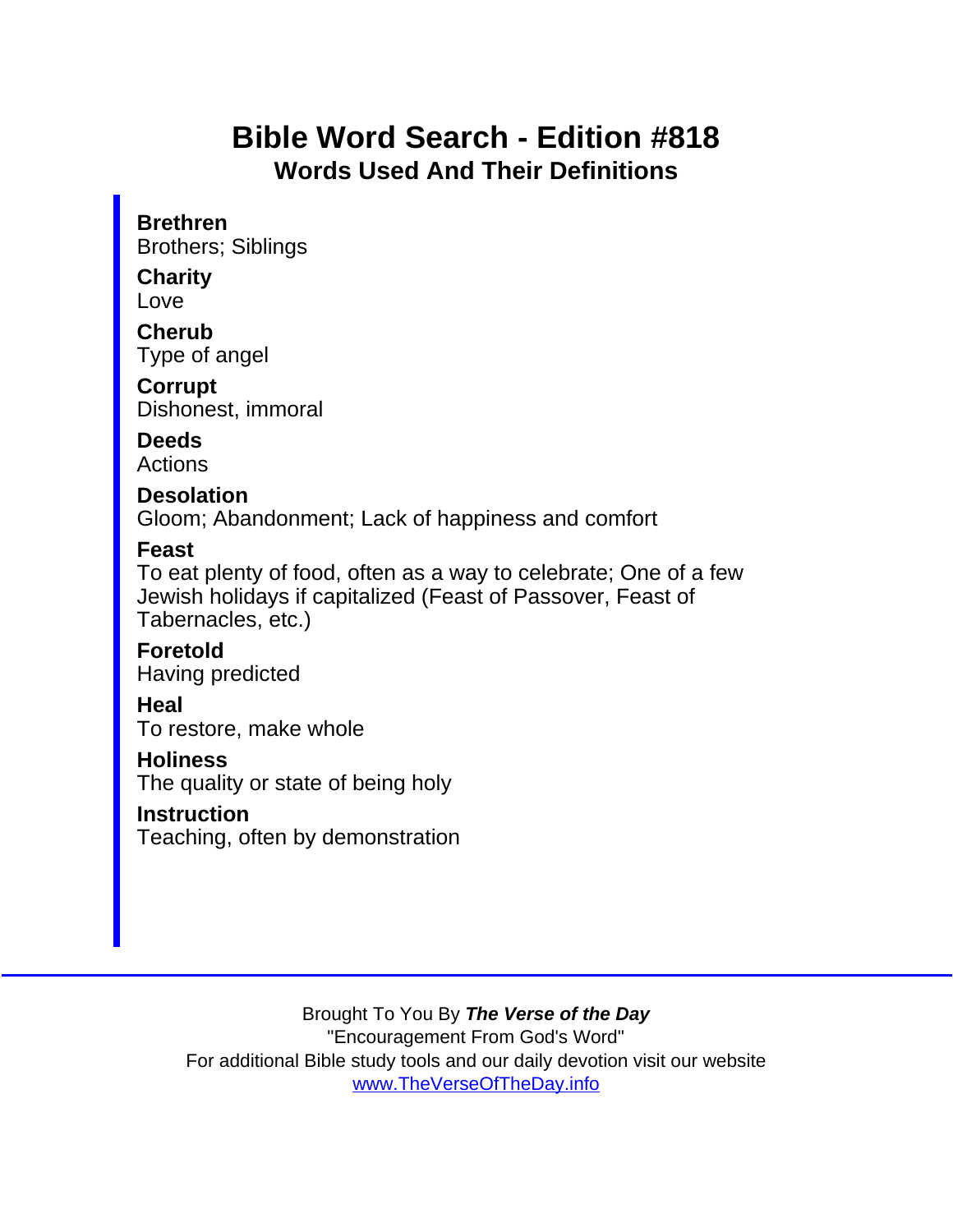## Bible Word Search - Edition #818 Words Used And Their Definitions

Brethren Brothers; Siblings **Charity** Love Cherub Type of angel **Corrupt** Dishonest, immoral **Deeds** Actions **Desolation** Gloom; Abandonment; Lack of happiness and comfort Feast To eat plenty of food, often as a way to celebrate; One of a few Jewish holidays if capitalized (Feast of Passover, Feast of Tabernacles, etc.) Foretold Having predicted **Heal** To restore, make whole **Holiness** The quality or state of being holy **Instruction** Teaching, often by demonstration